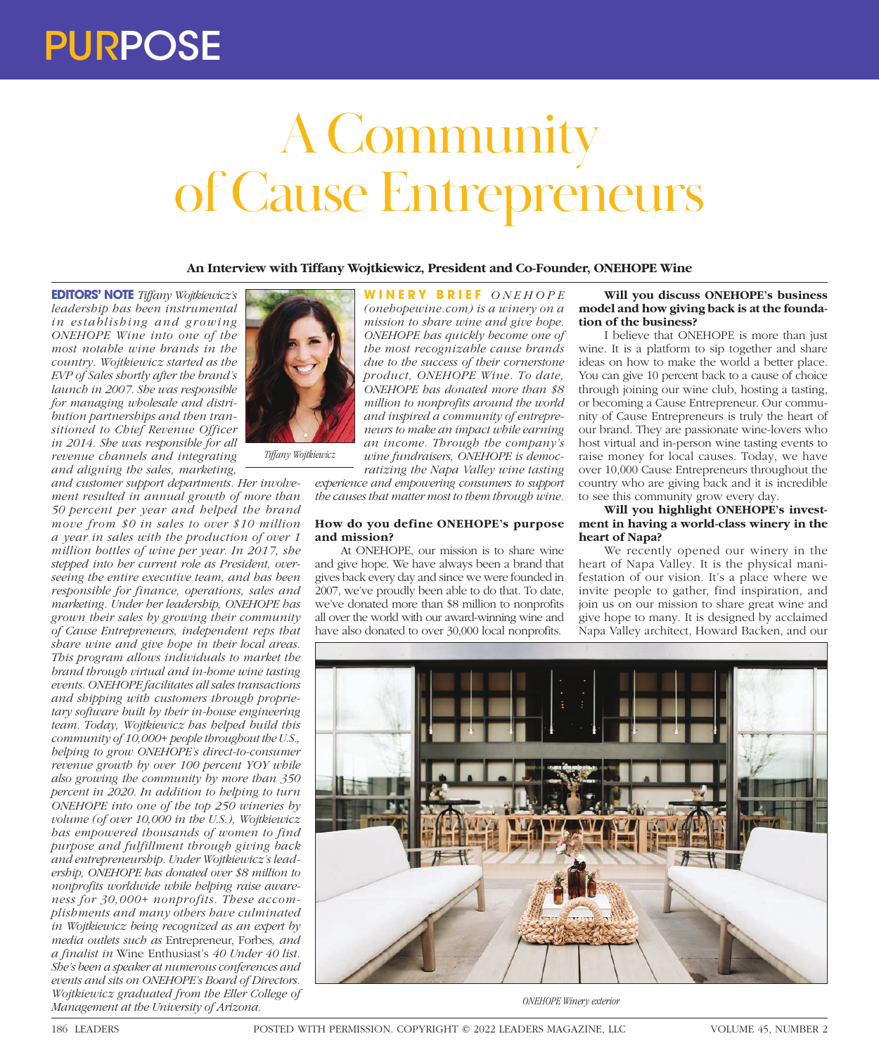# PURPOSE

# A Community of Cause Entrepreneurs

**An Interview with Tiffany Wojtkiewicz, President and Co-Founder, ONEHOPE Wine**

**EDITORS' NOTE** *Tiffany Wojtkiewicz's leadership has been instrumental in establishing and growing ONEHOPE Wine into one of the most notable wine brands in the country. Wojtkiewicz started as the EVP of Sales shortly after the brand's launch in 2007. She was responsible for managing wholesale and distribution partnerships and then transitioned to Chief Revenue Officer in 2014. She was responsible for all revenue channels and integrating and aligning the sales, marketing,* 

*and customer support departments. Her involvement resulted in annual growth of more than 50 percent per year and helped the brand move from \$0 in sales to over \$10 million a year in sales with the production of over 1 million bottles of wine per year. In 2017, she stepped into her current role as President, overseeing the entire executive team, and has been responsible for finance, operations, sales and marketing. Under her leadership, ONEHOPE has grown their sales by growing their community of Cause Entrepreneurs, independent reps that share wine and give hope in their local areas. This program allows individuals to market the brand through virtual and in-home wine tasting events. ONEHOPE facilitates all sales transactions and shipping with customers through proprietary software built by their in-house engineering team. Today, Wojtkiewicz has helped build this community of 10,000+ people throughout the U.S., helping to grow ONEHOPE's direct-to-consumer revenue growth by over 100 percent YOY while also growing the community by more than 350 percent in 2020. In addition to helping to turn ONEHOPE into one of the top 250 wineries by volume (of over 10,000 in the U.S.), Wojtkiewicz has empowered thousands of women to find purpose and fulfillment through giving back and entrepreneurship. Under Wojtkiewicz's leadership, ONEHOPE has donated over \$8 million to nonprofits worldwide while helping raise awareness for 30,000+ nonprofits. These accomplishments and many others have culminated in Wojtkiewicz being recognized as an expert by media outlets such as* Entrepreneur, Forbes*, and a finalist in* Wine Enthusiast's *40 Under 40 list. She's been a speaker at numerous conferences and events and sits on ONEHOPE's Board of Directors. Wojtkiewicz graduated from the Eller College of Management at the University of Arizona.*



*Tiffany Wojtkiewicz*

**WINERY BRIEF** *O N E H O P E (onehopewine.com) is a winery on a mission to share wine and give hope. ONEHOPE has quickly become one of the most recognizable cause brands due to the success of their cornerstone product, ONEHOPE Wine. To date, ONEHOPE has donated more than \$8 million to nonprofits around the world and inspired a community of entrepreneurs to make an impact while earning an income. Through the company's wine fundraisers, ONEHOPE is democratizing the Napa Valley wine tasting* 

*experience and empowering consumers to support the causes that matter most to them through wine.*

## **How do you define ONEHOPE's purpose and mission?**

At ONEHOPE, our mission is to share wine and give hope. We have always been a brand that gives back every day and since we were founded in 2007, we've proudly been able to do that. To date, we've donated more than \$8 million to nonprofits all over the world with our award-winning wine and have also donated to over 30,000 local nonprofits.

#### **Will you discuss ONEHOPE's business model and how giving back is at the foundation of the business?**

I believe that ONEHOPE is more than just wine. It is a platform to sip together and share ideas on how to make the world a better place. You can give 10 percent back to a cause of choice through joining our wine club, hosting a tasting, or becoming a Cause Entrepreneur. Our community of Cause Entrepreneurs is truly the heart of our brand. They are passionate wine-lovers who host virtual and in-person wine tasting events to raise money for local causes. Today, we have over 10,000 Cause Entrepreneurs throughout the country who are giving back and it is incredible to see this community grow every day.

**Will you highlight ONEHOPE's investment in having a world-class winery in the heart of Napa?** 

We recently opened our winery in the heart of Napa Valley. It is the physical manifestation of our vision. It's a place where we invite people to gather, find inspiration, and join us on our mission to share great wine and give hope to many. It is designed by acclaimed Napa Valley architect, Howard Backen, and our



*ONEHOPE Winery exterior*